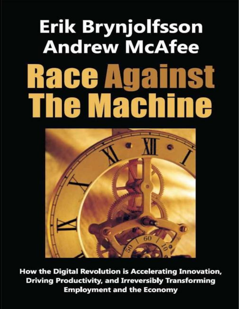# **Erik Brynjolfsson Andrew McAfee** Race Against The Machine



How the Digital Revolution is Accelerating Innovation, **Driving Productivity, and Irreversibly Transforming Employment and the Economy**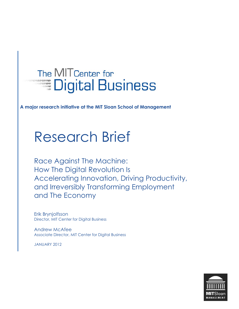

**A major research initiative at the MIT Sloan School of Management**

# Research Brief

Race Against The Machine: How The Digital Revolution Is Accelerating Innovation, Driving Productivity, and Irreversibly Transforming Employment and The Economy

Erik Brynjolfsson Director, MIT Center for Digital Business

Andrew McAfee Associate Director, MIT Center for Digital Business

JANUARY 2012

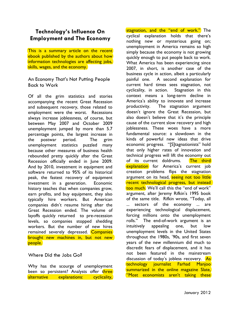### **Technology's Influence On Employment and The Economy**

This is a summary article on the recent ebook published by the authors about how information technologies are affecting jobs, skills, wages, and the economy.

An Economy That's Not Putting People Back to Work

Of all the grim statistics and stories accompanying the recent Great Recession and subsequent recovery, those related to employment were the worst. Recessions always increase joblessness, of course, but between May 2007 and October 2009 unemployment jumped by more than 5.7 percentage points, the largest increase in the postwar period. The grim unemployment statistics puzzled many because other measures of business health rebounded pretty quickly after the Great Recession officially ended in June 2009. And by 2010, investment in equipment and software returned to 95% of its historical peak, the fastest recovery of equipment investment in a generation. Economic history teaches that when companies grow, earn profits, and buy equipment, they also typically hire workers. But American companies didn't resume hiring after the Great Recession ended. The volume of layoffs quickly returned to pre-recession levels, so companies stopped shedding workers. But the number of new hires remained severely depressed. Companies brought new machines in, but not new people.

Where Did the Jobs Go?

Why has the scourge of unemployment been so persistent? Analysts offer three alternative explanations: cyclicality, stagnation, and the "end of work." The cyclical explanation holds that there's nothing new or mysterious going on; unemployment in America remains so high simply because the economy is not growing quickly enough to put people back to work. What America has been experiencing since 2007, in short, is another case of the business cycle in action, albeit a particularly painful one. A second explanation for current hard times sees stagnation, not cyclicality, in action. Stagnation in this context means a long-term decline in America's ability to innovate and increase productivity. The stagnation argument doesn't ignore the Great Recession, but also doesn't believe that it's the principle cause of the current slow recovery and high joblessness. These woes have a more fundamental source: a slowdown in the kinds of powerful new ideas that drive economic progress. "[S]tagnationists" hold that only higher rates of innovation and technical progress will lift the economy out of its current doldrums. The third explanation for America's current job creation problems flips the stagnation argument on its head, seeing not too little recent technological progress, but instead too much. We'll call this the "end of work" argument, after Jeremy Rifkin's 1995 book of the same title. Rifkin wrote, "Today, all ... sectors of the economy ... are experiencing technological displacement, forcing millions onto the unemployment rolls." The end-of-work argument is an intuitively appealing one, but low unemployment levels in the United States throughout the 1980s, '90s, and first seven years of the new millennium did much to discredit fears of displacement, and it has not been featured in the mainstream discussion of today's jobless recovery. As technology journalist Farhad Manjoo summarized in the online magazine Slate, "Most economists aren't taking these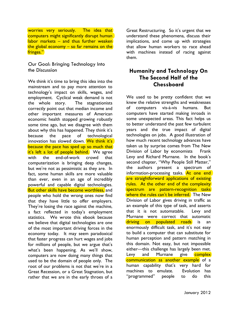worries very seriously. The idea that computers might significantly disrupt human labor markets – and thus further weaken the global economy  $-$  so far remains on the fringes."

Our Goal: Bringing Technology Into the Discussion

We think it's time to bring this idea into the mainstream and to pay more attention to technology's impact on skills, wages, and employment. Cyclical weak demand is not the whole story. The stagnationists correctly point out that median income and other important measures of American economic health stopped growing robustly some time ago, but we disagree with them about why this has happened. They think it's because the pace of technological innovation has slowed down. We think it's because the pace has sped up so much that it's left a lot of people behind. We agree with the end-of-work crowd that computerization is bringing deep changes, but we're not as pessimistic as they are. In fact, some human skills are more valuable than ever, even in an age of incredibly powerful and capable digital technologies. But other skills have become worthless, and people who hold the wrong ones now find that they have little to offer employers. They're losing the race against the machine, a fact reflected in today's employment statistics. We wrote this ebook because we believe that digital technologies are one of the most important driving forces in the economy today. It may seem paradoxical that faster progress can hurt wages and jobs for millions of people, but we argue that's what's been happening. As we'll show, computers are now doing many things that used to be the domain of people only. The root of our problems is not that we're in a Great Recession, or a Great Stagnation, but rather that we are in the early throes of a

Great Restructuring. So it's urgent that we understand these phenomena, discuss their implications, and come up with strategies that allow human workers to race ahead with machines instead of racing against them.

## **Humanity and Technology On The Second Half of the Chessboard**

We used to be pretty confident that we knew the relative strengths and weaknesses of computers vis-à-vis humans. But computers have started making inroads in some unexpected areas. This fact helps us to better understand the past few turbulent years and the true impact of digital technologies on jobs. A good illustration of how much recent technology advances have taken us by surprise comes from The New Division of Labor by economists Frank Levy and Richard Murnane. In the book's second chapter, "Why People Still Matter," the authors present a spectrum of information-processing tasks. At one end are straightforward applications of existing rules. At the other end of the complexity spectrum are pattern-recognition tasks where the rules can't be inferred. The New Division of Labor gives driving in traffic as an example of this type of task, and asserts that it is not automatable. Levy and Murnane were correct that automatic driving on populated roads is an enormously difficult task, and it's not easy to build a computer that can substitute for human perception and pattern matching in this domain. Not easy, but not impossible either—this challenge has largely been met. Levy and Murnane give complex communication as another example of a human capability that's very hard for machines to emulate. Evolution has "programmed" people to do this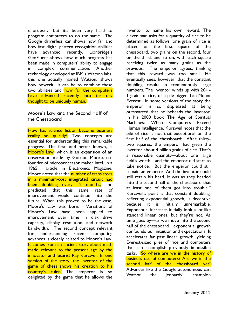effortlessly, but it's been very hard to program computers to do the same. The Google driverless car shows how far and how fast digital pattern recognition abilities have advanced recently. Lionbridge's GeoFluent shows how much progress has been made in computers' ability to engage in complex communication. Another technology developed at IBM's Watson labs, this one actually named Watson, shows how powerful it can be to combine these two abilities and how far the computers have advanced recently into territory thought to be uniquely human.

#### Moore's Law and the Second Half of the Chessboard

How has science fiction become business reality so quickly? Two concepts are essential for understanding this remarkable progress. The first, and better known, is Moore's Law, which is an expansion of an observation made by Gordon Moore, cofounder of microprocessor maker Intel. In a 1965 article in Electronics Magazine, Moore noted that the **number of transistors** in a minimum-cost integrated circuit had been doubling every 12 months, and predicted that this same rate of improvement would continue into the future. When this proved to be the case, Moore's Law was born. Variations of Moore's Law have been applied to improvement over time in disk drive capacity, display resolution, and network bandwidth. The second concept relevant for understanding recent computing advances is closely related to Moore's Law. It comes from an ancient story about math made relevant to the present age by the innovator and futurist Ray Kurzweil. In one version of the story, the inventor of the game of chess shows his creation to his country's ruler. The emperor is so delighted by the game that he allows the

inventor to name his own reward. The clever man asks for a quantity of rice to be determined as follows: one grain of rice is placed on the first square of the chessboard, two grains on the second, four on the third, and so on, with each square receiving twice as many grains as the previous. The emperor agrees, thinking that this reward was too small. He eventually sees, however, that the constant doubling results in tremendously large numbers. The inventor winds up with 264 - 1 grains of rice, or a pile bigger than Mount Everest. In some versions of the story the emperor is so displeased at being outsmarted that he beheads the inventor. In his 2000 book The Age of Spiritual Machines: When Computers Exceed Human Intelligence, Kurzweil notes that the pile of rice is not that exceptional on the first half of the chessboard: "After thirtytwo squares, the emperor had given the inventor about 4 billion grains of rice. That's a reasonable quantity—about one large field's worth—and the emperor did start to take notice. But the emperor could still remain an emperor. And the inventor could still retain his head. It was as they headed into the second half of the chessboard that at least one of them got into trouble." Kurzweil's point is that constant doubling, reflecting exponential growth, is deceptive because it is initially unremarkable. Exponential increases initially look a lot like standard linear ones, but they're not. As time goes by—as we move into the second half of the chessboard—exponential growth confounds our intuition and expectations. It accelerates far past linear growth, yielding Everest-sized piles of rice and computers that can accomplish previously impossible tasks. So where are we in the history of business use of computers? Are we in the second half of the chessboard yet? Advances like the Google autonomous car, Watson the Jeopardy! champion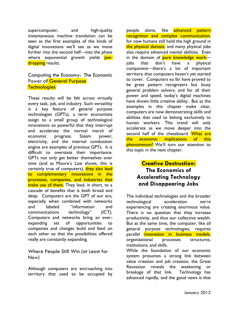supercomputer, and high-quality instantaneous machine translation can be seen as the first examples of the kinds of digital innovations we'll see as we move further into the second half—into the phase where exponential growth yields *jaw*dropping results.

Computing the Economy: The Economic Power of General Purpose **Technologies** 

These results will be felt across virtually every task, job, and industry. Such versatility is a key feature of general purpose technologies (GPTs), a term economists assign to a small group of technological innovations so powerful that they interrupt and accelerate the normal march of economic progress. Steam power, electricity, and the internal combustion engine are examples of previous GPTs. It is difficult to overstate their importance. GPTs not only get better themselves over time (and as Moore's Law shows, this is certainly true of computers), they also lead to complementary innovations in the processes, companies, and industries that make use of them. They lead, in short, to a cascade of benefits that is both broad and deep. Computers are the GPT of our era, especially when combined with networks and labeled "information and communications technology" (ICT). Computers and networks bring an everexpanding set of opportunities to companies and changes build and feed on each other so that the possibilities offered really are constantly expanding.

Where People Still Win (at Least for Now)

Although computers are encroaching into territory that used to be occupied by

people alone, like advanced pattern recognition and complex communication, for now humans still hold the high ground in the physical domain, and many physical jobs also require advanced mental abilities. Even in the domain of pure knowledge work jobs that don't have a physical component—there's a lot of important territory that computers haven't yet started to cover. Computers so far have proved to be great pattern recognizers but lousy general problem solvers; and for all their power and speed, today's digital machines have shown little creative ability. But as the examples in this chapter make clear, computers are now demonstrating skills and abilities that used to belong exclusively to human workers. This trend will only accelerate as we move deeper into the second half of the chessboard. What are the economic implications of this phenomenon? We'll turn our attention to this topic in the next chapter.

# **Creative Destruction: The Economics of Accelerating Technology and Disappearing Jobs**

The individual technologies and the broader technological acceleration we're experiencing are creating enormous value. There is no question that they increase productivity, and thus our collective wealth. But at the same time, the computer, like all general purpose technologies, requires parallel innovation in business models, organizational processes structures, institutions, and skills.

While the foundation of our economic system presumes a strong link between value creation and job creation, the Great Recession reveals the weakening or breakage of that link. Technology has advanced rapidly, and the good news is that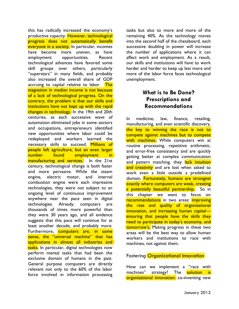this has radically increased the economy's productive capacity. However, technological progress does not automatically benefit everyone in a society. In particular, incomes have become more uneven, as have employment opportunities. Recent technological advances have favored some skill groups over others, particularly "superstars" in many fields, and probably also increased the overall share of GDP accruing to capital relative to labor. The stagnation in median income is not because of a lack of technological progress. On the contrary, the problem is that our skills and institutions have not kept up with the rapid changes in technology. In the 19th and 20th centuries, as each successive wave of automation eliminated jobs in some sectors and occupations, entrepreneurs identified new opportunities where labor could be redeployed and workers learned the necessary skills to succeed. Millions of people left agriculture, but an even larger number found employment in manufacturing and services. In the 21st century, technological change is both faster and more pervasive. While the steam engine, electric motor, and internal combustion engine were each impressive technologies, they were not subject to an ongoing level of continuous improvement anywhere near the pace seen in digital technologies. Already, computers are thousands of times more powerful than they were 30 years ago, and all evidence suggests that this pace will continue for at least another decade, and probably more. Furthermore, computers are, in some sense, the "universal machine" that has applications in almost all industries and tasks. In particular, digital technologies now perform mental tasks that had been the exclusive domain of humans in the past. General purpose computers are directly relevant not only to the 60% of the labor force involved in information processing

tasks but also to more and more of the remaining 40%. As the technology moves into the second half of the chessboard, each successive doubling in power will increase the number of applications where it can affect work and employment. As a result, our skills and institutions will have to work harder and harder to keep up lest more and more of the labor force faces technological unemployment.

#### **What is to Be Done? Prescriptions and Recommendations**

In medicine, law, finance, retailing, manufacturing, and even scientific discovery, the key to winning the race is not to compete against machines but to compete with machines. While computers win at routine processing, repetitive arithmetic, and error-free consistency and are quickly getting better at complex communication and pattern matching, they lack intuition and creativity and are lost when asked to work even a little outside a predefined domain. Fortunately, humans are strongest exactly where computers are weak, creating a potentially beautiful partnership. So in this chapter we want to focus on recommendations in two areas: improving the rate and quality of organizational innovation, and increasing human capital ensuring that people have the skills they need to participate in today's economy, and tomorrow's. Making progress in these two areas will be the best way to allow human workers and institutions to race with machines, not against them.

#### Fostering Organizational Innovation

How can we implement a "race with machines" strategy? The solution is organizational innovation: co-inventing new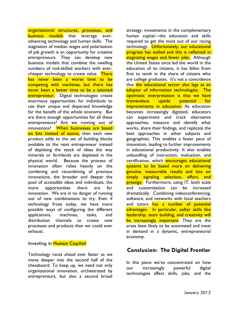organizational structures, processes, and business models that leverage everadvancing technology and human skills. The stagnation of median wages and polarization of job growth is an opportunity for creative entrepreneurs. They can develop new business models that combine the swelling numbers of mid-skilled workers with evercheaper technology to create value. There has never been a worse time to be competing with machines, but there has never been a better time to be a talented entrepreneur. Digital technologies create enormous opportunities for individuals to use their unique and dispersed knowledge for the benefit of the whole economy. But are there enough opportunities for all these entrepreneurs? Are we running out of innovations? When businesses are based on bits instead of atoms, then each new product adds to the set of building blocks available to the next entrepreneur instead of depleting the stock of ideas the way minerals or farmlands are depleted in the physical world. Because the process of innovation often relies heavily on the combining and recombining of previous innovations, the broader and deeper the pool of accessible ideas and individuals, the more opportunities there are for innovation. We are in no danger of running out of new combinations to try. Even if technology froze today, we have more possible ways of configuring the different applications, machines, tasks, and distribution channels to create new processes and products than we could ever exhaust.

Investing in Human Capital

Technology races ahead ever faster as we move deeper into the second half of the chessboard. To keep up, we need not only organizational innovation, orchestrated by entrepreneurs, but also a second broad

strategy: investments in the complementary human capital—the education and skills required to get the most out of our racing technology. Unfortunately, our educational progress has stalled and this is reflected in stagnating wages and fewer jobs. Although the United States once led the world in the education of its citizens, it has fallen from first to tenth in the share of citizens who are college graduates. It's not a coincidence that the educational sector also lags as an adopter of information technologies. The optimistic interpretation is that we have tremendous upside potential for improvements in education. As education becomes increasingly digitized, educators can experiment and track alternative approaches, measure and identify what works, share their findings, and replicate the best approaches in other subjects and geographies. This enables a faster pace of innovation, leading to further improvements in educational productivity. It also enables unbundling of instruction, evaluation, and certification, which encourages educational systems to be based more on delivering genuine, measurable results and less on simply signaling selection, effort, and prestige. Furthermore, using IT, both scale and customization can be increased dramatically. Combining videoconferencing, software, and networks with local teachers and tutors has a number of potential advantages. In particular, softer skills like leadership, team building, and creativity will be increasingly important. They are the areas least likely to be automated and most in demand in a dynamic, entrepreneurial economy.

## **Conclusion: The Digital Frontier**

In this piece we've concentrated on how our increasingly powerful digital technologies affect skills, jobs, and the